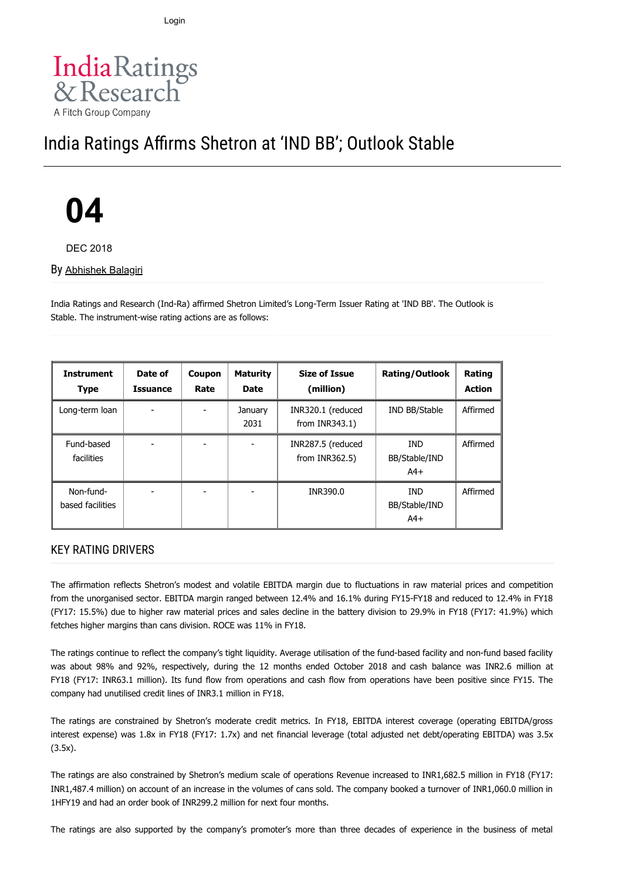12/5/2018 India Ratings and Research Private Limited States and Research Agency : India Rating Affirms Sh… Rating Affirms Sh… Rating Affirms Sh… Rating Affirms Sh… Rating Affirms Sh… Ratings Affirms Sh… Ratings Affirms Sh… Login



## India Ratings Affirms Shetron at 'IND BB'; Outlook Stable

# **04**

DEC 2018

By [Abhishek Balagiri](https://www.indiaratings.co.in/Analyst?analystID=238&analystName=Abhishek%20Balagiri)

India Ratings and Research (Ind-Ra) affirmed Shetron Limited's Long-Term Issuer Rating at 'IND BB'. The Outlook is Stable. The instrument-wise rating actions are as follows:

| <b>Instrument</b><br><b>Type</b> | Date of<br><b>Issuance</b> | Coupon<br>Rate | <b>Maturity</b><br><b>Date</b> | <b>Size of Issue</b><br>(million)      | <b>Rating/Outlook</b>                | <b>Rating</b><br><b>Action</b> |
|----------------------------------|----------------------------|----------------|--------------------------------|----------------------------------------|--------------------------------------|--------------------------------|
| Long-term loan                   |                            |                | January<br>2031                | INR320.1 (reduced<br>from $INR343.1$ ) | IND BB/Stable                        | Affirmed                       |
| Fund-based<br>facilities         |                            |                |                                | INR287.5 (reduced<br>from $INR362.5$ ) | <b>IND</b><br>BB/Stable/IND<br>$A4+$ | Affirmed                       |
| Non-fund-<br>based facilities    |                            |                |                                | INR390.0                               | <b>IND</b><br>BB/Stable/IND<br>$A4+$ | Affirmed                       |

#### KEY RATING DRIVERS

The affirmation reflects Shetron's modest and volatile EBITDA margin due to fluctuations in raw material prices and competition from the unorganised sector. EBITDA margin ranged between 12.4% and 16.1% during FY15-FY18 and reduced to 12.4% in FY18 (FY17: 15.5%) due to higher raw material prices and sales decline in the battery division to 29.9% in FY18 (FY17: 41.9%) which fetches higher margins than cans division. ROCE was 11% in FY18.

The ratings continue to reflect the company's tight liquidity. Average utilisation of the fund-based facility and non-fund based facility was about 98% and 92%, respectively, during the 12 months ended October 2018 and cash balance was INR2.6 million at FY18 (FY17: INR63.1 million). Its fund flow from operations and cash flow from operations have been positive since FY15. The company had unutilised credit lines of INR3.1 million in FY18.

The ratings are constrained by Shetron's moderate credit metrics. In FY18, EBITDA interest coverage (operating EBITDA/gross interest expense) was 1.8x in FY18 (FY17: 1.7x) and net financial leverage (total adjusted net debt/operating EBITDA) was 3.5x (3.5x).

The ratings are also constrained by Shetron's medium scale of operations Revenue increased to INR1,682.5 million in FY18 (FY17: INR1,487.4 million) on account of an increase in the volumes of cans sold. The company booked a turnover of INR1,060.0 million in 1HFY19 and had an order book of INR299.2 million for next four months.

The ratings are also supported by the company's promoter's more than three decades of experience in the business of metal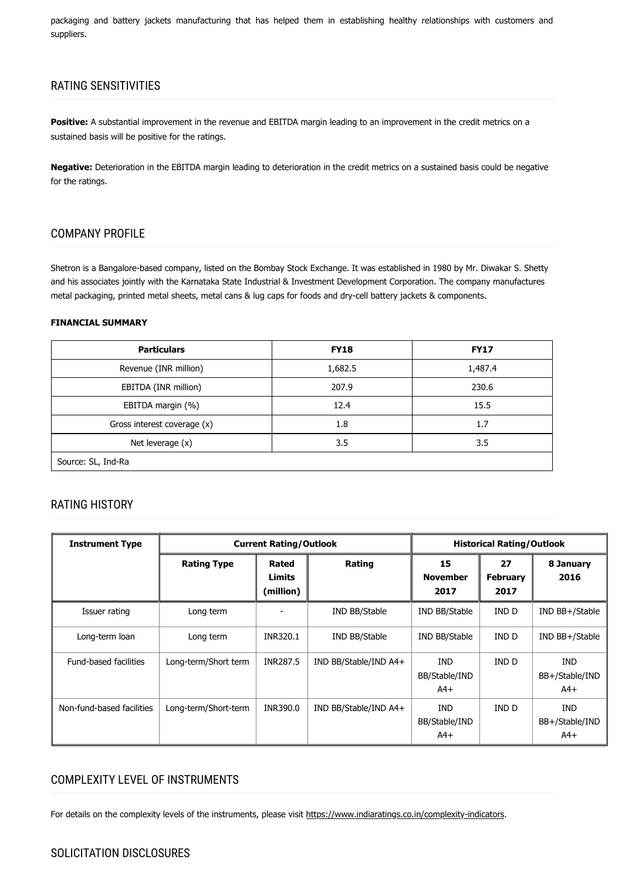packaging and battery jackets manufacturing that has helped them in establishing healthy relationships with customers and suppliers.

#### RATING SENSITIVITIES

**Positive:** A substantial improvement in the revenue and EBITDA margin leading to an improvement in the credit metrics on a sustained basis will be positive for the ratings.

**Negative:** Deterioration in the EBITDA margin leading to deterioration in the credit metrics on a sustained basis could be negative for the ratings.

#### COMPANY PROFILE

Shetron is a Bangalore-based company, listed on the Bombay Stock Exchange. It was established in 1980 by Mr. Diwakar S. Shetty and his associates jointly with the Karnataka State Industrial & Investment Development Corporation. The company manufactures metal packaging, printed metal sheets, metal cans & lug caps for foods and dry-cell battery jackets & components.

#### **FINANCIAL SUMMARY**

| <b>Particulars</b>          | <b>FY18</b> | <b>FY17</b> |  |  |  |
|-----------------------------|-------------|-------------|--|--|--|
| Revenue (INR million)       | 1,682.5     | 1,487.4     |  |  |  |
| EBITDA (INR million)        | 207.9       | 230.6       |  |  |  |
| EBITDA margin (%)           | 12.4        | 15.5        |  |  |  |
| Gross interest coverage (x) | 1.8         | 1.7         |  |  |  |
| Net leverage (x)            | 3.5         | 3.5         |  |  |  |
| Source: SL, Ind-Ra          |             |             |  |  |  |

#### RATING HISTORY

| <b>Instrument Type</b>    | <b>Current Rating/Outlook</b> |                                     |                         | <b>Historical Rating/Outlook</b> |                               |                                       |
|---------------------------|-------------------------------|-------------------------------------|-------------------------|----------------------------------|-------------------------------|---------------------------------------|
|                           | <b>Rating Type</b>            | Rated<br><b>Limits</b><br>(million) | Rating                  | 15<br><b>November</b><br>2017    | 27<br><b>February</b><br>2017 | 8 January<br>2016                     |
| Issuer rating             | Long term                     |                                     | IND BB/Stable           | IND BB/Stable                    | IND D                         | IND BB+/Stable                        |
| Long-term loan            | Long term                     | INR320.1                            | IND BB/Stable           | IND BB/Stable                    | IND D                         | IND BB+/Stable                        |
| Fund-based facilities     | Long-term/Short term          | INR287.5                            | IND BB/Stable/IND A4+   | IND<br>BB/Stable/IND<br>$A4+$    | IND D                         | <b>IND</b><br>BB+/Stable/IND<br>$A4+$ |
| Non-fund-based facilities | Long-term/Short-term          | INR390.0                            | $IND$ BB/Stable/IND A4+ | IND<br>BB/Stable/IND<br>$A4+$    | IND D                         | <b>IND</b><br>BB+/Stable/IND<br>$A4+$ |

#### COMPLEXITY LEVEL OF INSTRUMENTS

For details on the complexity levels of the instruments, please visit [https://www.indiaratings.co.in/complexity-indicators.](https://www.indiaratings.co.in/complexity-indicators)

#### https://www.indiaratings.co.in/PressRelease?pressReleaseID=35079&title=India-Ratings-Affirms-Shetron-at-%E2%80%98IND-BB%E2%80%99… 2/4 SOLICITATION DISCLOSURES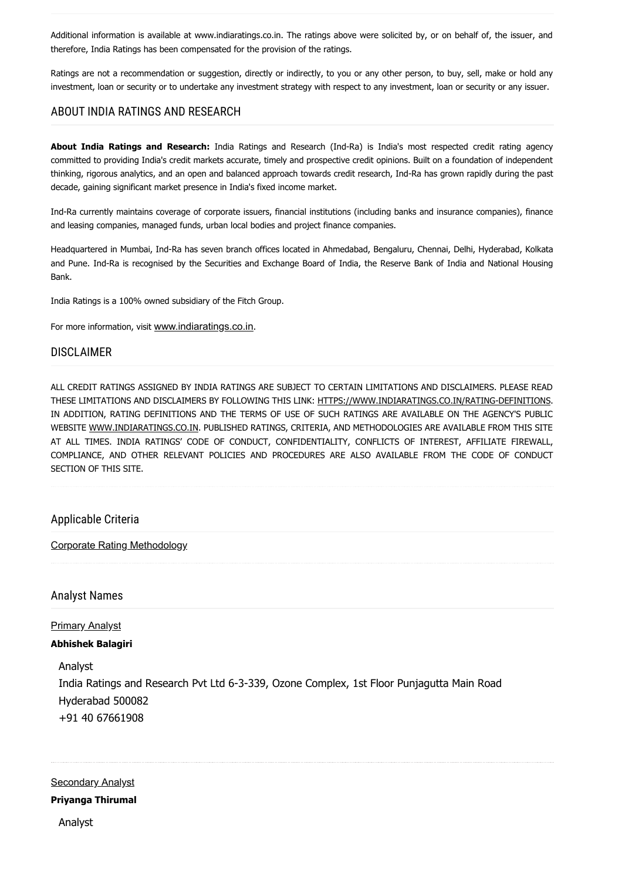Additional information is available at www.indiaratings.co.in. The ratings above were solicited by, or on behalf of, the issuer, and therefore, India Ratings has been compensated for the provision of the ratings.

Ratings are not a recommendation or suggestion, directly or indirectly, to you or any other person, to buy, sell, make or hold any investment, loan or security or to undertake any investment strategy with respect to any investment, loan or security or any issuer.

#### ABOUT INDIA RATINGS AND RESEARCH

**About India Ratings and Research:** India Ratings and Research (Ind-Ra) is India's most respected credit rating agency committed to providing India's credit markets accurate, timely and prospective credit opinions. Built on a foundation of independent thinking, rigorous analytics, and an open and balanced approach towards credit research, Ind-Ra has grown rapidly during the past decade, gaining significant market presence in India's fixed income market.

Ind-Ra currently maintains coverage of corporate issuers, financial institutions (including banks and insurance companies), finance and leasing companies, managed funds, urban local bodies and project finance companies.

Headquartered in Mumbai, Ind-Ra has seven branch offices located in Ahmedabad, Bengaluru, Chennai, Delhi, Hyderabad, Kolkata and Pune. Ind-Ra is recognised by the Securities and Exchange Board of India, the Reserve Bank of India and National Housing Bank.

India Ratings is a 100% owned subsidiary of the Fitch Group.

For more information, visit [www.indiaratings.co.in](http://www.indiaratings.co.in/).

#### DISCLAIMER

ALL CREDIT RATINGS ASSIGNED BY INDIA RATINGS ARE SUBJECT TO CERTAIN LIMITATIONS AND DISCLAIMERS. PLEASE READ THESE LIMITATIONS AND DISCLAIMERS BY FOLLOWING THIS LINK: [HTTPS://WWW.INDIARATINGS.CO.IN/RATING-DEFINITIONS](https://www.indiaratings.co.in/rating-definitions). IN ADDITION, RATING DEFINITIONS AND THE TERMS OF USE OF SUCH RATINGS ARE AVAILABLE ON THE AGENCY'S PUBLIC WEBSITE [WWW.INDIARATINGS.CO.IN.](http://www.indiaratings.co.in/) PUBLISHED RATINGS, CRITERIA, AND METHODOLOGIES ARE AVAILABLE FROM THIS SITE AT ALL TIMES. INDIA RATINGS' CODE OF CONDUCT, CONFIDENTIALITY, CONFLICTS OF INTEREST, AFFILIATE FIREWALL, COMPLIANCE, AND OTHER RELEVANT POLICIES AND PROCEDURES ARE ALSO AVAILABLE FROM THE CODE OF CONDUCT SECTION OF THIS SITE.

#### Applicable Criteria

[Corporate Rating Methodology](https://www.indiaratings.co.in/Uploads/CriteriaReport/CorporateRatingMethodology.pdf)

#### Analyst Names

**Primary Analyst Abhishek Balagiri**

Analyst

India Ratings and Research Pvt Ltd 6-3-339, Ozone Complex, 1st Floor Punjagutta Main Road Hyderabad 500082 +91 40 67661908

### **Secondary Analyst Priyanga Thirumal**

Analyst